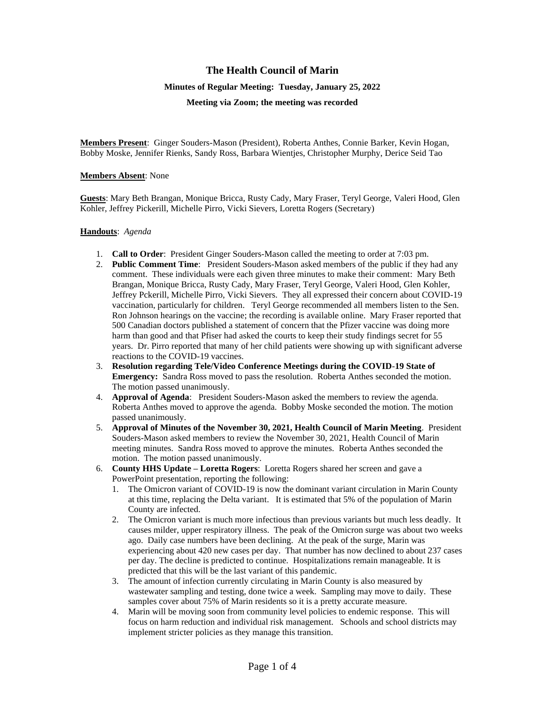# **The Health Council of Marin**

#### **Minutes of Regular Meeting: Tuesday, January 25, 2022**

**Meeting via Zoom; the meeting was recorded**

**Members Present**: Ginger Souders-Mason (President), Roberta Anthes, Connie Barker, Kevin Hogan, Bobby Moske, Jennifer Rienks, Sandy Ross, Barbara Wientjes, Christopher Murphy, Derice Seid Tao

#### **Members Absent**: None

**Guests**: Mary Beth Brangan, Monique Bricca, Rusty Cady, Mary Fraser, Teryl George, Valeri Hood, Glen Kohler, Jeffrey Pickerill, Michelle Pirro, Vicki Sievers, Loretta Rogers (Secretary)

### **Handouts**: *Agenda*

- 1. **Call to Order**: President Ginger Souders-Mason called the meeting to order at 7:03 pm.
- 2. **Public Comment Time**: President Souders-Mason asked members of the public if they had any comment. These individuals were each given three minutes to make their comment: Mary Beth Brangan, Monique Bricca, Rusty Cady, Mary Fraser, Teryl George, Valeri Hood, Glen Kohler, Jeffrey Pckerill, Michelle Pirro, Vicki Sievers. They all expressed their concern about COVID-19 vaccination, particularly for children. Teryl George recommended all members listen to the Sen. Ron Johnson hearings on the vaccine; the recording is available online. Mary Fraser reported that 500 Canadian doctors published a statement of concern that the Pfizer vaccine was doing more harm than good and that Pfiser had asked the courts to keep their study findings secret for 55 years. Dr. Pirro reported that many of her child patients were showing up with significant adverse reactions to the COVID-19 vaccines.
- 3. **Resolution regarding Tele/Video Conference Meetings during the COVID**-**19 State of Emergency:** Sandra Ross moved to pass the resolution. Roberta Anthes seconded the motion. The motion passed unanimously.
- 4. **Approval of Agenda**: President Souders-Mason asked the members to review the agenda. Roberta Anthes moved to approve the agenda. Bobby Moske seconded the motion. The motion passed unanimously.
- 5. **Approval of Minutes of the November 30, 2021, Health Council of Marin Meeting**. President Souders-Mason asked members to review the November 30, 2021, Health Council of Marin meeting minutes. Sandra Ross moved to approve the minutes. Roberta Anthes seconded the motion. The motion passed unanimously.
- 6. **County HHS Update – Loretta Rogers**: Loretta Rogers shared her screen and gave a PowerPoint presentation, reporting the following:
	- 1. The Omicron variant of COVID-19 is now the dominant variant circulation in Marin County at this time, replacing the Delta variant. It is estimated that 5% of the population of Marin County are infected.
	- 2. The Omicron variant is much more infectious than previous variants but much less deadly. It causes milder, upper respiratory illness. The peak of the Omicron surge was about two weeks ago. Daily case numbers have been declining. At the peak of the surge, Marin was experiencing about 420 new cases per day. That number has now declined to about 237 cases per day. The decline is predicted to continue. Hospitalizations remain manageable. It is predicted that this will be the last variant of this pandemic.
	- 3. The amount of infection currently circulating in Marin County is also measured by wastewater sampling and testing, done twice a week. Sampling may move to daily. These samples cover about 75% of Marin residents so it is a pretty accurate measure.
	- 4. Marin will be moving soon from community level policies to endemic response. This will focus on harm reduction and individual risk management. Schools and school districts may implement stricter policies as they manage this transition.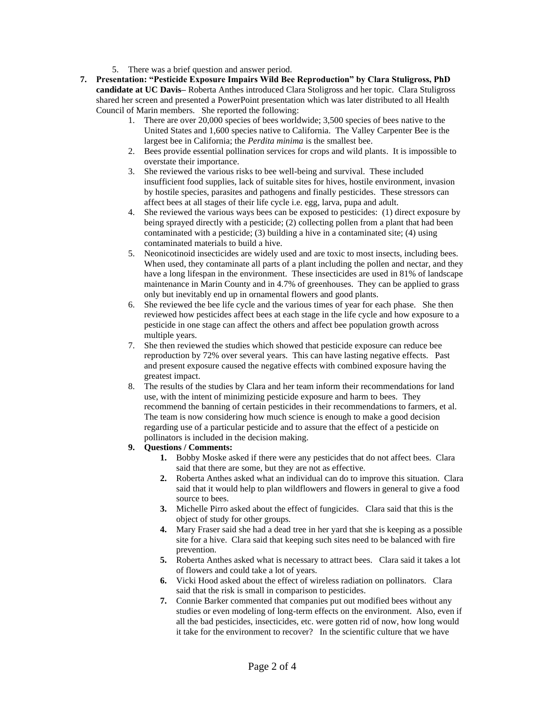- 5. There was a brief question and answer period.
- **7. Presentation: "Pesticide Exposure Impairs Wild Bee Reproduction" by Clara Stuligross, PhD candidate at UC Davis–** Roberta Anthes introduced Clara Stoligross and her topic. Clara Stuligross shared her screen and presented a PowerPoint presentation which was later distributed to all Health Council of Marin members. She reported the following:
	- 1. There are over 20,000 species of bees worldwide; 3,500 species of bees native to the United States and 1,600 species native to California. The Valley Carpenter Bee is the largest bee in California; the *Perdita minima* is the smallest bee.
	- 2. Bees provide essential pollination services for crops and wild plants. It is impossible to overstate their importance.
	- 3. She reviewed the various risks to bee well-being and survival. These included insufficient food supplies, lack of suitable sites for hives, hostile environment, invasion by hostile species, parasites and pathogens and finally pesticides. These stressors can affect bees at all stages of their life cycle i.e. egg, larva, pupa and adult.
	- 4. She reviewed the various ways bees can be exposed to pesticides: (1) direct exposure by being sprayed directly with a pesticide; (2) collecting pollen from a plant that had been contaminated with a pesticide; (3) building a hive in a contaminated site; (4) using contaminated materials to build a hive.
	- 5. Neonicotinoid insecticides are widely used and are toxic to most insects, including bees. When used, they contaminate all parts of a plant including the pollen and nectar, and they have a long lifespan in the environment. These insecticides are used in 81% of landscape maintenance in Marin County and in 4.7% of greenhouses. They can be applied to grass only but inevitably end up in ornamental flowers and good plants.
	- 6. She reviewed the bee life cycle and the various times of year for each phase. She then reviewed how pesticides affect bees at each stage in the life cycle and how exposure to a pesticide in one stage can affect the others and affect bee population growth across multiple years.
	- 7. She then reviewed the studies which showed that pesticide exposure can reduce bee reproduction by 72% over several years. This can have lasting negative effects. Past and present exposure caused the negative effects with combined exposure having the greatest impact.
	- 8. The results of the studies by Clara and her team inform their recommendations for land use, with the intent of minimizing pesticide exposure and harm to bees. They recommend the banning of certain pesticides in their recommendations to farmers, et al. The team is now considering how much science is enough to make a good decision regarding use of a particular pesticide and to assure that the effect of a pesticide on pollinators is included in the decision making.

#### **9. Questions / Comments:**

- **1.** Bobby Moske asked if there were any pesticides that do not affect bees. Clara said that there are some, but they are not as effective.
- **2.** Roberta Anthes asked what an individual can do to improve this situation. Clara said that it would help to plan wildflowers and flowers in general to give a food source to bees.
- **3.** Michelle Pirro asked about the effect of fungicides. Clara said that this is the object of study for other groups.
- **4.** Mary Fraser said she had a dead tree in her yard that she is keeping as a possible site for a hive. Clara said that keeping such sites need to be balanced with fire prevention.
- **5.** Roberta Anthes asked what is necessary to attract bees. Clara said it takes a lot of flowers and could take a lot of years.
- **6.** Vicki Hood asked about the effect of wireless radiation on pollinators. Clara said that the risk is small in comparison to pesticides.
- **7.** Connie Barker commented that companies put out modified bees without any studies or even modeling of long-term effects on the environment. Also, even if all the bad pesticides, insecticides, etc. were gotten rid of now, how long would it take for the environment to recover? In the scientific culture that we have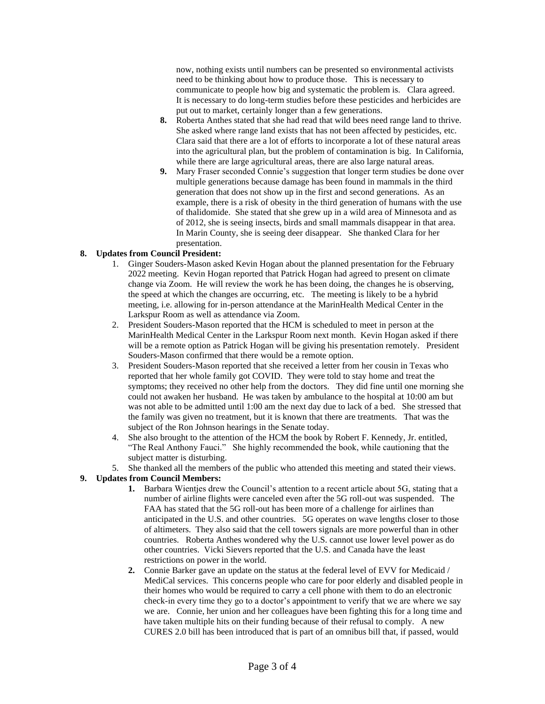now, nothing exists until numbers can be presented so environmental activists need to be thinking about how to produce those. This is necessary to communicate to people how big and systematic the problem is. Clara agreed. It is necessary to do long-term studies before these pesticides and herbicides are put out to market, certainly longer than a few generations.

- **8.** Roberta Anthes stated that she had read that wild bees need range land to thrive. She asked where range land exists that has not been affected by pesticides, etc. Clara said that there are a lot of efforts to incorporate a lot of these natural areas into the agricultural plan, but the problem of contamination is big. In California, while there are large agricultural areas, there are also large natural areas.
- **9.** Mary Fraser seconded Connie's suggestion that longer term studies be done over multiple generations because damage has been found in mammals in the third generation that does not show up in the first and second generations. As an example, there is a risk of obesity in the third generation of humans with the use of thalidomide. She stated that she grew up in a wild area of Minnesota and as of 2012, she is seeing insects, birds and small mammals disappear in that area. In Marin County, she is seeing deer disappear. She thanked Clara for her presentation.

## **8. Updates from Council President:**

- 1. Ginger Souders-Mason asked Kevin Hogan about the planned presentation for the February 2022 meeting. Kevin Hogan reported that Patrick Hogan had agreed to present on climate change via Zoom. He will review the work he has been doing, the changes he is observing, the speed at which the changes are occurring, etc. The meeting is likely to be a hybrid meeting, i.e. allowing for in-person attendance at the MarinHealth Medical Center in the Larkspur Room as well as attendance via Zoom.
- 2. President Souders-Mason reported that the HCM is scheduled to meet in person at the MarinHealth Medical Center in the Larkspur Room next month. Kevin Hogan asked if there will be a remote option as Patrick Hogan will be giving his presentation remotely. President Souders-Mason confirmed that there would be a remote option.
- 3. President Souders-Mason reported that she received a letter from her cousin in Texas who reported that her whole family got COVID. They were told to stay home and treat the symptoms; they received no other help from the doctors. They did fine until one morning she could not awaken her husband. He was taken by ambulance to the hospital at 10:00 am but was not able to be admitted until 1:00 am the next day due to lack of a bed. She stressed that the family was given no treatment, but it is known that there are treatments. That was the subject of the Ron Johnson hearings in the Senate today.
- 4. She also brought to the attention of the HCM the book by Robert F. Kennedy, Jr. entitled, "The Real Anthony Fauci." She highly recommended the book, while cautioning that the subject matter is disturbing.
- 5. She thanked all the members of the public who attended this meeting and stated their views.

#### **9. Updates from Council Members:**

- **1.** Barbara Wientjes drew the Council's attention to a recent article about 5G, stating that a number of airline flights were canceled even after the 5G roll-out was suspended. The FAA has stated that the 5G roll-out has been more of a challenge for airlines than anticipated in the U.S. and other countries. 5G operates on wave lengths closer to those of altimeters. They also said that the cell towers signals are more powerful than in other countries. Roberta Anthes wondered why the U.S. cannot use lower level power as do other countries. Vicki Sievers reported that the U.S. and Canada have the least restrictions on power in the world.
- **2.** Connie Barker gave an update on the status at the federal level of EVV for Medicaid / MediCal services. This concerns people who care for poor elderly and disabled people in their homes who would be required to carry a cell phone with them to do an electronic check-in every time they go to a doctor's appointment to verify that we are where we say we are. Connie, her union and her colleagues have been fighting this for a long time and have taken multiple hits on their funding because of their refusal to comply. A new CURES 2.0 bill has been introduced that is part of an omnibus bill that, if passed, would